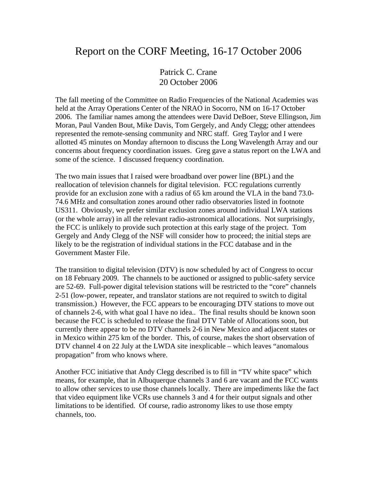## Report on the CORF Meeting, 16-17 October 2006

Patrick C. Crane 20 October 2006

The fall meeting of the Committee on Radio Frequencies of the National Academies was held at the Array Operations Center of the NRAO in Socorro, NM on 16-17 October 2006. The familiar names among the attendees were David DeBoer, Steve Ellingson, Jim Moran, Paul Vanden Bout, Mike Davis, Tom Gergely, and Andy Clegg; other attendees represented the remote-sensing community and NRC staff. Greg Taylor and I were allotted 45 minutes on Monday afternoon to discuss the Long Wavelength Array and our concerns about frequency coordination issues. Greg gave a status report on the LWA and some of the science. I discussed frequency coordination.

The two main issues that I raised were broadband over power line (BPL) and the reallocation of television channels for digital television. FCC regulations currently provide for an exclusion zone with a radius of 65 km around the VLA in the band 73.0- 74.6 MHz and consultation zones around other radio observatories listed in footnote US311. Obviously, we prefer similar exclusion zones around individual LWA stations (or the whole array) in all the relevant radio-astronomical allocations. Not surprisingly, the FCC is unlikely to provide such protection at this early stage of the project. Tom Gergely and Andy Clegg of the NSF will consider how to proceed; the initial steps are likely to be the registration of individual stations in the FCC database and in the Government Master File.

The transition to digital television (DTV) is now scheduled by act of Congress to occur on 18 February 2009. The channels to be auctioned or assigned to public-safety service are 52-69. Full-power digital television stations will be restricted to the "core" channels 2-51 (low-power, repeater, and translator stations are not required to switch to digital transmission.) However, the FCC appears to be encouraging DTV stations to move out of channels 2-6, with what goal I have no idea.. The final results should be known soon because the FCC is scheduled to release the final DTV Table of Allocations soon, but currently there appear to be no DTV channels 2-6 in New Mexico and adjacent states or in Mexico within 275 km of the border. This, of course, makes the short observation of DTV channel 4 on 22 July at the LWDA site inexplicable – which leaves "anomalous propagation" from who knows where.

Another FCC initiative that Andy Clegg described is to fill in "TV white space" which means, for example, that in Albuquerque channels 3 and 6 are vacant and the FCC wants to allow other services to use those channels locally. There are impediments like the fact that video equipment like VCRs use channels 3 and 4 for their output signals and other limitations to be identified. Of course, radio astronomy likes to use those empty channels, too.